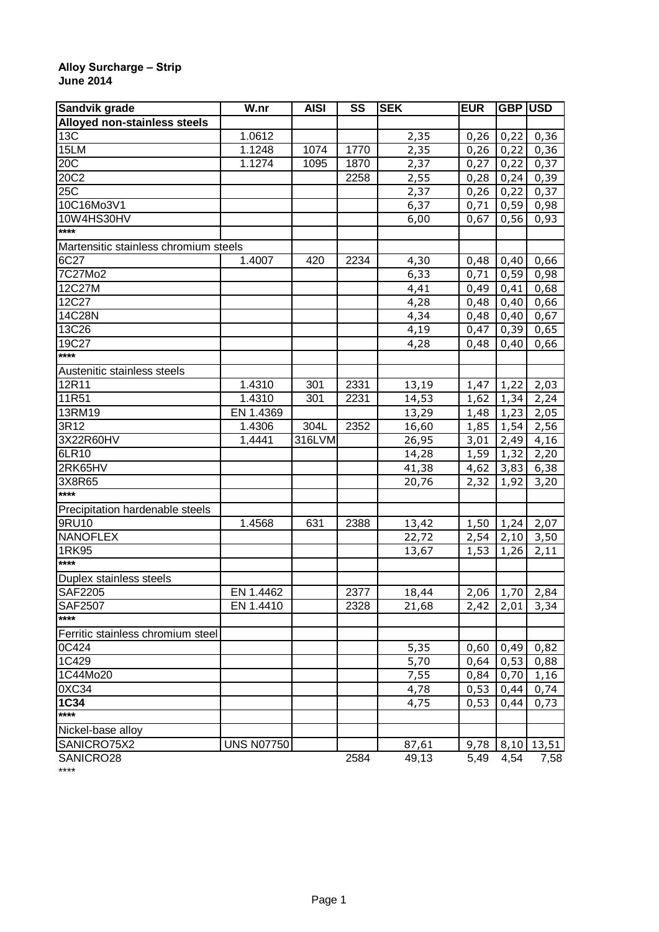## **Alloy Surcharge – Strip June 2014**

| Sandvik grade                         | W.nr              | <b>AISI</b>    | SS   | <b>SEK</b> | <b>EUR</b> | GBP USD |       |
|---------------------------------------|-------------------|----------------|------|------------|------------|---------|-------|
| Alloyed non-stainless steels          |                   |                |      |            |            |         |       |
| $13\overline{C}$                      | 1.0612            |                |      | 2,35       | 0,26       | 0,22    | 0,36  |
| 15LM                                  | 1.1248            | 1074           | 1770 | 2,35       | 0,26       | 0,22    | 0,36  |
| 20C                                   | 1.1274            | 1095           | 1870 | 2,37       | 0,27       | 0,22    | 0,37  |
| 20C2                                  |                   |                | 2258 | 2,55       | 0,28       | 0,24    | 0,39  |
| 25 <sup>2</sup>                       |                   |                |      | 2,37       | 0,26       | 0,22    | 0,37  |
| 10C16Mo3V1                            |                   |                |      | 6,37       | 0,71       | 0,59    | 0,98  |
| 10W4HS30HV                            |                   |                |      | 6,00       | 0,67       | 0,56    | 0,93  |
| ****                                  |                   |                |      |            |            |         |       |
| Martensitic stainless chromium steels |                   |                |      |            |            |         |       |
| 6C27                                  | 1.4007            | 420            | 2234 | 4,30       | 0,48       | 0,40    | 0,66  |
| 7C27Mo2                               |                   |                |      | 6,33       | 0,71       | 0,59    | 0,98  |
| 12C27M                                |                   |                |      | 4,41       | 0,49       | 0,41    | 0,68  |
| 12C27                                 |                   |                |      | 4,28       | 0,48       | 0,40    | 0,66  |
| 14C28N                                |                   |                |      | 4,34       | 0,48       | 0,40    | 0,67  |
| 13C26                                 |                   |                |      | 4,19       | 0,47       | 0,39    | 0,65  |
| 19C27                                 |                   |                |      | 4,28       | 0,48       | 0,40    | 0,66  |
| ****                                  |                   |                |      |            |            |         |       |
| Austenitic stainless steels           |                   |                |      |            |            |         |       |
| 12R11                                 | 1.4310            | 301            | 2331 | 13,19      | 1,47       | 1,22    | 2,03  |
| 11R51                                 | 1.4310            | 301            | 2231 | 14,53      | 1,62       | 1,34    | 2,24  |
| 13RM19                                | EN 1.4369         |                |      | 13,29      |            | 1,23    |       |
| 3R12                                  |                   |                | 2352 |            | 1,48       |         | 2,05  |
| 3X22R60HV                             | 1.4306            | 304L<br>316LVM |      | 16,60      | 1,85       | 1,54    | 2,56  |
|                                       | 1,4441            |                |      | 26,95      | 3,01       | 2,49    | 4,16  |
| 6LR10                                 |                   |                |      | 14,28      | 1,59       | 1,32    | 2,20  |
| 2RK65HV                               |                   |                |      | 41,38      | 4,62       | 3,83    | 6,38  |
| 3X8R65<br>****                        |                   |                |      | 20,76      | 2,32       | 1,92    | 3,20  |
|                                       |                   |                |      |            |            |         |       |
| Precipitation hardenable steels       |                   |                |      |            |            |         |       |
| 9RU10                                 | 1.4568            | 631            | 2388 | 13,42      | 1,50       | 1,24    | 2,07  |
| <b>NANOFLEX</b>                       |                   |                |      | 22,72      | 2,54       | 2,10    | 3,50  |
| 1RK95                                 |                   |                |      | 13,67      | 1,53       | 1,26    | 2,11  |
| $***$                                 |                   |                |      |            |            |         |       |
| Duplex stainless steels               |                   |                |      |            |            |         |       |
| <b>SAF2205</b>                        | EN 1.4462         |                | 2377 | 18,44      | 2,06       | 1,70    | 2,84  |
| <b>SAF2507</b>                        | EN 1.4410         |                | 2328 | 21,68      | 2,42       | 2,01    | 3,34  |
| ****                                  |                   |                |      |            |            |         |       |
| Ferritic stainless chromium steel     |                   |                |      |            |            |         |       |
| 0C424                                 |                   |                |      | 5,35       | 0,60       | 0,49    | 0,82  |
| 1C429                                 |                   |                |      | 5,70       | 0,64       | 0,53    | 0,88  |
| 1C44Mo20                              |                   |                |      | 7,55       | 0,84       | 0,70    | 1,16  |
| 0XC34                                 |                   |                |      | 4,78       | 0,53       | 0,44    | 0,74  |
| $1C\overline{34}$                     |                   |                |      | 4,75       | 0,53       | 0,44    | 0,73  |
| ****                                  |                   |                |      |            |            |         |       |
| Nickel-base alloy                     |                   |                |      |            |            |         |       |
| SANICRO75X2                           | <b>UNS N07750</b> |                |      | 87,61      | 9,78       | 8,10    | 13,51 |
| SANICRO28                             |                   |                | 2584 | 49,13      | 5,49       | 4,54    | 7,58  |

\*\*\*\*